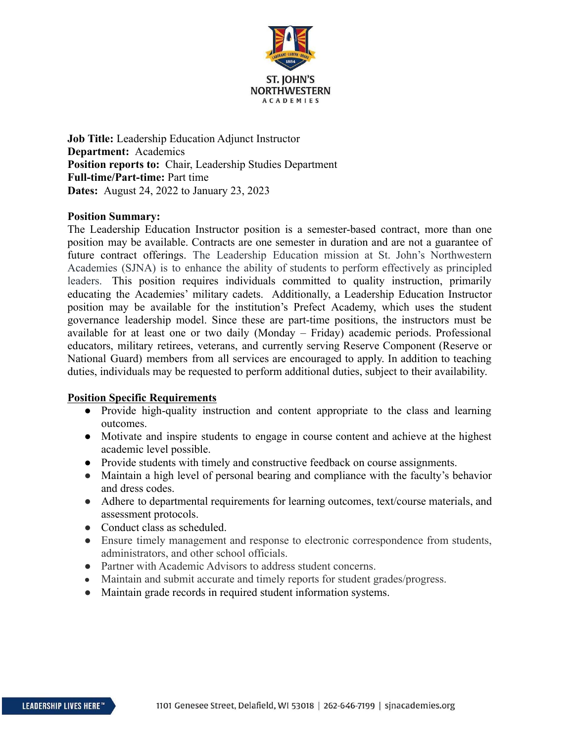

**Job Title:** Leadership Education Adjunct Instructor **Department:** Academics **Position reports to:** Chair, Leadership Studies Department **Full-time/Part-time:** Part time **Dates:** August 24, 2022 to January 23, 2023

## **Position Summary:**

The Leadership Education Instructor position is a semester-based contract, more than one position may be available. Contracts are one semester in duration and are not a guarantee of future contract offerings. The Leadership Education mission at St. John's Northwestern Academies (SJNA) is to enhance the ability of students to perform effectively as principled leaders. This position requires individuals committed to quality instruction, primarily educating the Academies' military cadets. Additionally, a Leadership Education Instructor position may be available for the institution's Prefect Academy, which uses the student governance leadership model. Since these are part-time positions, the instructors must be available for at least one or two daily (Monday – Friday) academic periods. Professional educators, military retirees, veterans, and currently serving Reserve Component (Reserve or National Guard) members from all services are encouraged to apply. In addition to teaching duties, individuals may be requested to perform additional duties, subject to their availability.

## **Position Specific Requirements**

- **●** Provide high-quality instruction and content appropriate to the class and learning outcomes.
- **●** Motivate and inspire students to engage in course content and achieve at the highest academic level possible.
- **●** Provide students with timely and constructive feedback on course assignments.
- Maintain a high level of personal bearing and compliance with the faculty's behavior and dress codes.
- Adhere to departmental requirements for learning outcomes, text/course materials, and assessment protocols.
- Conduct class as scheduled.
- Ensure timely management and response to electronic correspondence from students, administrators, and other school officials.
- Partner with Academic Advisors to address student concerns.
- Maintain and submit accurate and timely reports for student grades/progress.
- Maintain grade records in required student information systems.